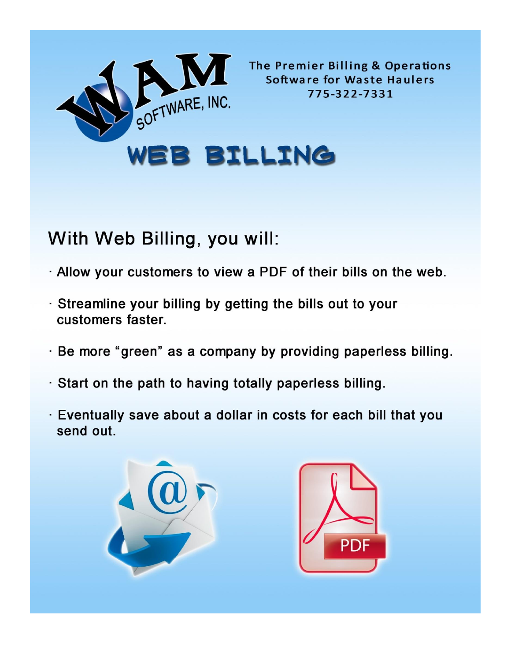

The Premier Billing & Operations **Software for Waste Haulers** 775-322-7331

WEB BILLING

## With Web Billing, you will:

- . Allow your customers to view a PDF of their bills on the web.
- . Streamline your billing by getting the bills out to your customers faster.
- · Be more "green" as a company by providing paperless billing.
- · Start on the path to having totally paperless billing.
- · Eventually save about a dollar in costs for each bill that you send out.



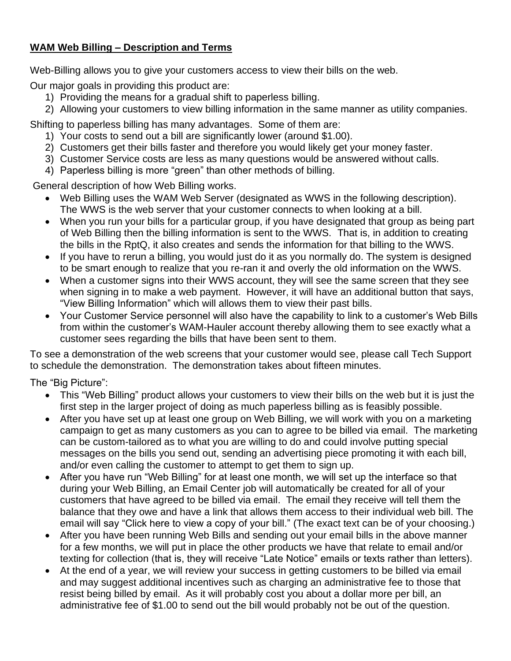## **WAM Web Billing – Description and Terms**

Web-Billing allows you to give your customers access to view their bills on the web.

Our major goals in providing this product are:

- 1) Providing the means for a gradual shift to paperless billing.
- 2) Allowing your customers to view billing information in the same manner as utility companies.

Shifting to paperless billing has many advantages. Some of them are:

- 1) Your costs to send out a bill are significantly lower (around \$1.00).
- 2) Customers get their bills faster and therefore you would likely get your money faster.
- 3) Customer Service costs are less as many questions would be answered without calls.
- 4) Paperless billing is more "green" than other methods of billing.

General description of how Web Billing works.

- Web Billing uses the WAM Web Server (designated as WWS in the following description). The WWS is the web server that your customer connects to when looking at a bill.
- When you run your bills for a particular group, if you have designated that group as being part of Web Billing then the billing information is sent to the WWS. That is, in addition to creating the bills in the RptQ, it also creates and sends the information for that billing to the WWS.
- If you have to rerun a billing, you would just do it as you normally do. The system is designed to be smart enough to realize that you re-ran it and overly the old information on the WWS.
- When a customer signs into their WWS account, they will see the same screen that they see when signing in to make a web payment. However, it will have an additional button that says, "View Billing Information" which will allows them to view their past bills.
- Your Customer Service personnel will also have the capability to link to a customer's Web Bills from within the customer's WAM-Hauler account thereby allowing them to see exactly what a customer sees regarding the bills that have been sent to them.

To see a demonstration of the web screens that your customer would see, please call Tech Support to schedule the demonstration. The demonstration takes about fifteen minutes.

The "Big Picture":

- This "Web Billing" product allows your customers to view their bills on the web but it is just the first step in the larger project of doing as much paperless billing as is feasibly possible.
- After you have set up at least one group on Web Billing, we will work with you on a marketing campaign to get as many customers as you can to agree to be billed via email. The marketing can be custom-tailored as to what you are willing to do and could involve putting special messages on the bills you send out, sending an advertising piece promoting it with each bill, and/or even calling the customer to attempt to get them to sign up.
- After you have run "Web Billing" for at least one month, we will set up the interface so that during your Web Billing, an Email Center job will automatically be created for all of your customers that have agreed to be billed via email. The email they receive will tell them the balance that they owe and have a link that allows them access to their individual web bill. The email will say "Click here to view a copy of your bill." (The exact text can be of your choosing.)
- After you have been running Web Bills and sending out your email bills in the above manner for a few months, we will put in place the other products we have that relate to email and/or texting for collection (that is, they will receive "Late Notice" emails or texts rather than letters).
- At the end of a year, we will review your success in getting customers to be billed via email and may suggest additional incentives such as charging an administrative fee to those that resist being billed by email. As it will probably cost you about a dollar more per bill, an administrative fee of \$1.00 to send out the bill would probably not be out of the question.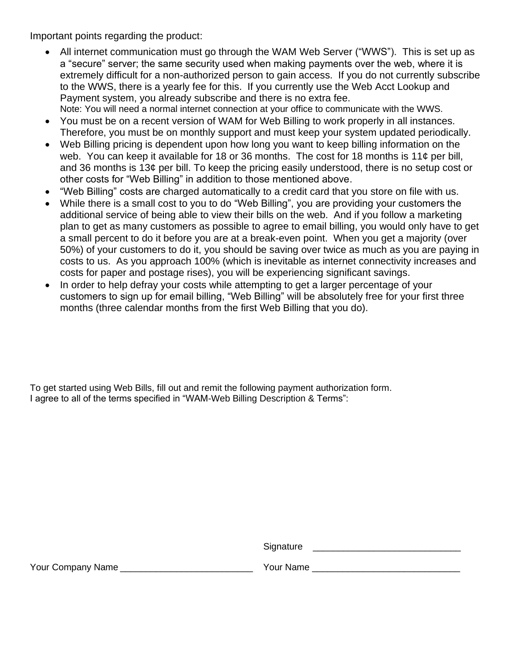Important points regarding the product:

- All internet communication must go through the WAM Web Server ("WWS"). This is set up as a "secure" server; the same security used when making payments over the web, where it is extremely difficult for a non-authorized person to gain access. If you do not currently subscribe to the WWS, there is a yearly fee for this. If you currently use the Web Acct Lookup and Payment system, you already subscribe and there is no extra fee. Note: You will need a normal internet connection at your office to communicate with the WWS.
- You must be on a recent version of WAM for Web Billing to work properly in all instances. Therefore, you must be on monthly support and must keep your system updated periodically.
- Web Billing pricing is dependent upon how long you want to keep billing information on the web. You can keep it available for 18 or 36 months. The cost for 18 months is 11¢ per bill, and 36 months is 13¢ per bill. To keep the pricing easily understood, there is no setup cost or other costs for "Web Billing" in addition to those mentioned above.
- "Web Billing" costs are charged automatically to a credit card that you store on file with us.
- While there is a small cost to you to do "Web Billing", you are providing your customers the additional service of being able to view their bills on the web. And if you follow a marketing plan to get as many customers as possible to agree to email billing, you would only have to get a small percent to do it before you are at a break-even point. When you get a majority (over 50%) of your customers to do it, you should be saving over twice as much as you are paying in costs to us. As you approach 100% (which is inevitable as internet connectivity increases and costs for paper and postage rises), you will be experiencing significant savings.
- In order to help defray your costs while attempting to get a larger percentage of your customers to sign up for email billing, "Web Billing" will be absolutely free for your first three months (three calendar months from the first Web Billing that you do).

To get started using Web Bills, fill out and remit the following payment authorization form. I agree to all of the terms specified in "WAM-Web Billing Description & Terms":

Your Company Name \_\_\_\_\_\_\_\_\_\_\_\_\_\_\_\_\_\_\_\_\_\_\_\_\_\_\_\_\_\_\_\_Your Name \_\_\_\_\_\_\_\_\_\_\_\_\_\_\_\_\_\_\_\_